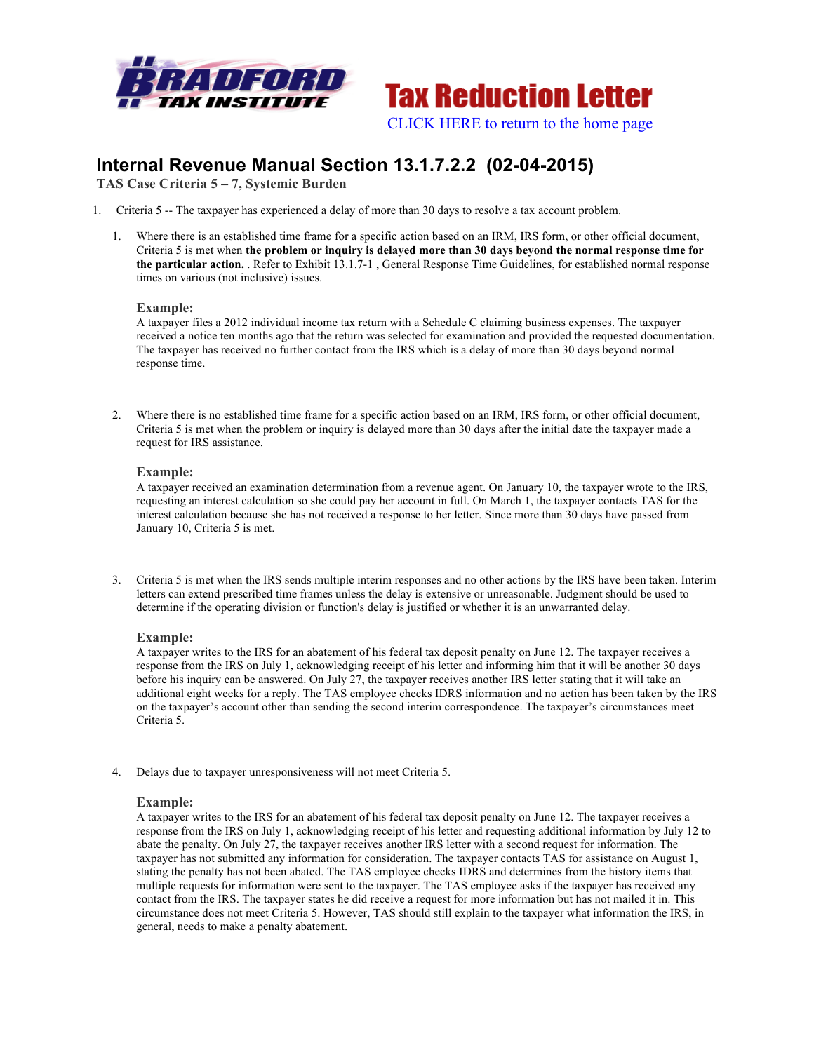



# **Internal Revenue Manual Section 13.1.7.2.2 (02-04-2015)**

**TAS Case Criteria 5 – 7, Systemic Burden**

- 1. Criteria 5 -- The taxpayer has experienced a delay of more than 30 days to resolve a tax account problem.
	- 1. Where there is an established time frame for a specific action based on an IRM, IRS form, or other official document, Criteria 5 is met when **the problem or inquiry is delayed more than 30 days beyond the normal response time for the particular action.** . Refer to Exhibit 13.1.7-1 , General Response Time Guidelines, for established normal response times on various (not inclusive) issues.

#### **Example:**

A taxpayer files a 2012 individual income tax return with a Schedule C claiming business expenses. The taxpayer received a notice ten months ago that the return was selected for examination and provided the requested documentation. The taxpayer has received no further contact from the IRS which is a delay of more than 30 days beyond normal response time.

2. Where there is no established time frame for a specific action based on an IRM, IRS form, or other official document, Criteria 5 is met when the problem or inquiry is delayed more than 30 days after the initial date the taxpayer made a request for IRS assistance.

# **Example:**

A taxpayer received an examination determination from a revenue agent. On January 10, the taxpayer wrote to the IRS, requesting an interest calculation so she could pay her account in full. On March 1, the taxpayer contacts TAS for the interest calculation because she has not received a response to her letter. Since more than 30 days have passed from January 10, Criteria 5 is met.

3. Criteria 5 is met when the IRS sends multiple interim responses and no other actions by the IRS have been taken. Interim letters can extend prescribed time frames unless the delay is extensive or unreasonable. Judgment should be used to determine if the operating division or function's delay is justified or whether it is an unwarranted delay.

# **Example:**

A taxpayer writes to the IRS for an abatement of his federal tax deposit penalty on June 12. The taxpayer receives a response from the IRS on July 1, acknowledging receipt of his letter and informing him that it will be another 30 days before his inquiry can be answered. On July 27, the taxpayer receives another IRS letter stating that it will take an additional eight weeks for a reply. The TAS employee checks IDRS information and no action has been taken by the IRS on the taxpayer's account other than sending the second interim correspondence. The taxpayer's circumstances meet Criteria 5.

4. Delays due to taxpayer unresponsiveness will not meet Criteria 5.

#### **Example:**

A taxpayer writes to the IRS for an abatement of his federal tax deposit penalty on June 12. The taxpayer receives a response from the IRS on July 1, acknowledging receipt of his letter and requesting additional information by July 12 to abate the penalty. On July 27, the taxpayer receives another IRS letter with a second request for information. The taxpayer has not submitted any information for consideration. The taxpayer contacts TAS for assistance on August 1, stating the penalty has not been abated. The TAS employee checks IDRS and determines from the history items that multiple requests for information were sent to the taxpayer. The TAS employee asks if the taxpayer has received any contact from the IRS. The taxpayer states he did receive a request for more information but has not mailed it in. This circumstance does not meet Criteria 5. However, TAS should still explain to the taxpayer what information the IRS, in general, needs to make a penalty abatement.